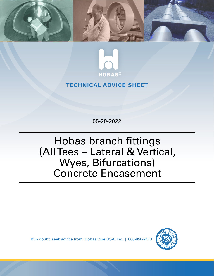



## **TECHNICAL ADVICE SHEET**

05-20-2022

# Hobas branch fittings (All Tees – Lateral & Vertical, Wyes, Bifurcations) Concrete Encasement

If in doubt, seek advice from: Hobas Pipe USA, Inc. | 800-856-7473

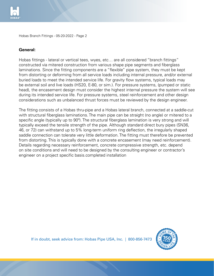

Hobas Branch Fittings - 05-20-2022 - Page 2

#### **General:**

Hobas fittings - lateral or vertical tees, wyes, etc… are all considered "branch fittings" constructed via mitered construction from various shape pipe segments and fiberglass laminations. Since the fitting components are a "flexible" pipe system, they must be kept from distorting or deforming from all service loads including internal pressure, and/or external buried loads to meet the intended service life. For gravity flow systems, typical loads may be external soil and live loads (HS20, E-80, or sim.). For pressure systems, (pumped or static head), the encasement design must consider the highest internal pressure the system will see during its intended service life. For pressure systems, steel reinforcement and other design considerations such as unbalanced thrust forces must be reviewed by the design engineer.

The fitting consists of a Hobas thru-pipe and a Hobas lateral branch, connected at a saddle-cut with structural fiberglass laminations. The main pipe can be straight (no angle) or mitered to a specific angle (typically up to 90º). The structural fiberglass lamination is very strong and will typically exceed the tensile strength of the pipe. Although standard direct bury pipes (SN36, 46, or 72) can withstand up to 5% long-term uniform ring deflection, the irregularly shaped saddle connection can tolerate very little deformation. The fitting must therefore be prevented from distorting. This is typically done with a concrete encasement (may need reinforcement). Details regarding necessary reinforcement, concrete compressive strength, etc. depend on site conditions and will need to be designed by the consulting engineer or contractor's engineer on a project specific basis.completed installation

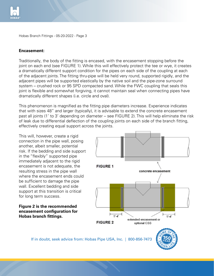

Hobas Branch Fittings - 05-20-2022 - Page 3  $20-2022$  - Page  $3$ 

#### **Encasement:**

Traditionally, the body of the fitting is encased, with the encasement stopping before the joint on each end (see FIGURE 1). While this will effectively protect the tee or wye, it creates a dramatically different support condition for the pipes on each side of the coupling at each of the adjacent joints. The fitting thru-pipe will be held very round, supported rigidly, and the adjacent pipes will be supported elastically by the native soil and the pipe-zone surround system – crushed rock or 95 SPD compacted sand. While the FWC coupling that seals this joint is flexible and somewhat forgiving, it cannot maintain seal when connecting pipes have on the bedding of the bedding of the bedding and side of the bedding and side support in the support in the bedding  $\sigma$  of the bedding and side support in the bedding  $\sigma$  of the bedding  $\sigma$  of the bedding  $\sigma$  of the be immediately adjacent to the rigid encasement is not adequate, the resulting stress in the

This phenomenon is magnified as the fitting pipe diameters increase. Experience indicates The proficmental is magnified as the neargy pipe diameters increase. Experience inalcates past all joints (1' to 3' depending on diameter – see FIGURE 2). This will help eliminate the risk past an joints (Figs. depending on diameter 1988) Records 27. This will help entimate the risk<br>of leak due to differential deflection of the coupling joints on each side of the branch fitting, effectively creating equal support across the joints. **fittings.**

This will, however, create a rigid connection in the pipe wall, posing another, albeit smaller, potential risk. If the bedding and side support in the "flexibly" supported pipe immediately adjacent to the rigid encasement is not adequate, the resulting stress in the pipe wall where the encasement ends could be sufficient to damage the pipe wall. Excellent bedding and side support at this transition is critical for long term success.

**Figure 2 is the recommended encasement configuration for Hobas branch fittings.**



creates a dramatically different support condition for the pipes on each side of the

 *HOBAS PIPE USA* **800-856-7473** 

If in doubt, seek advice from: Hobas Pipe USA, Inc. | 800-856-7473  $\|\cdot\|$